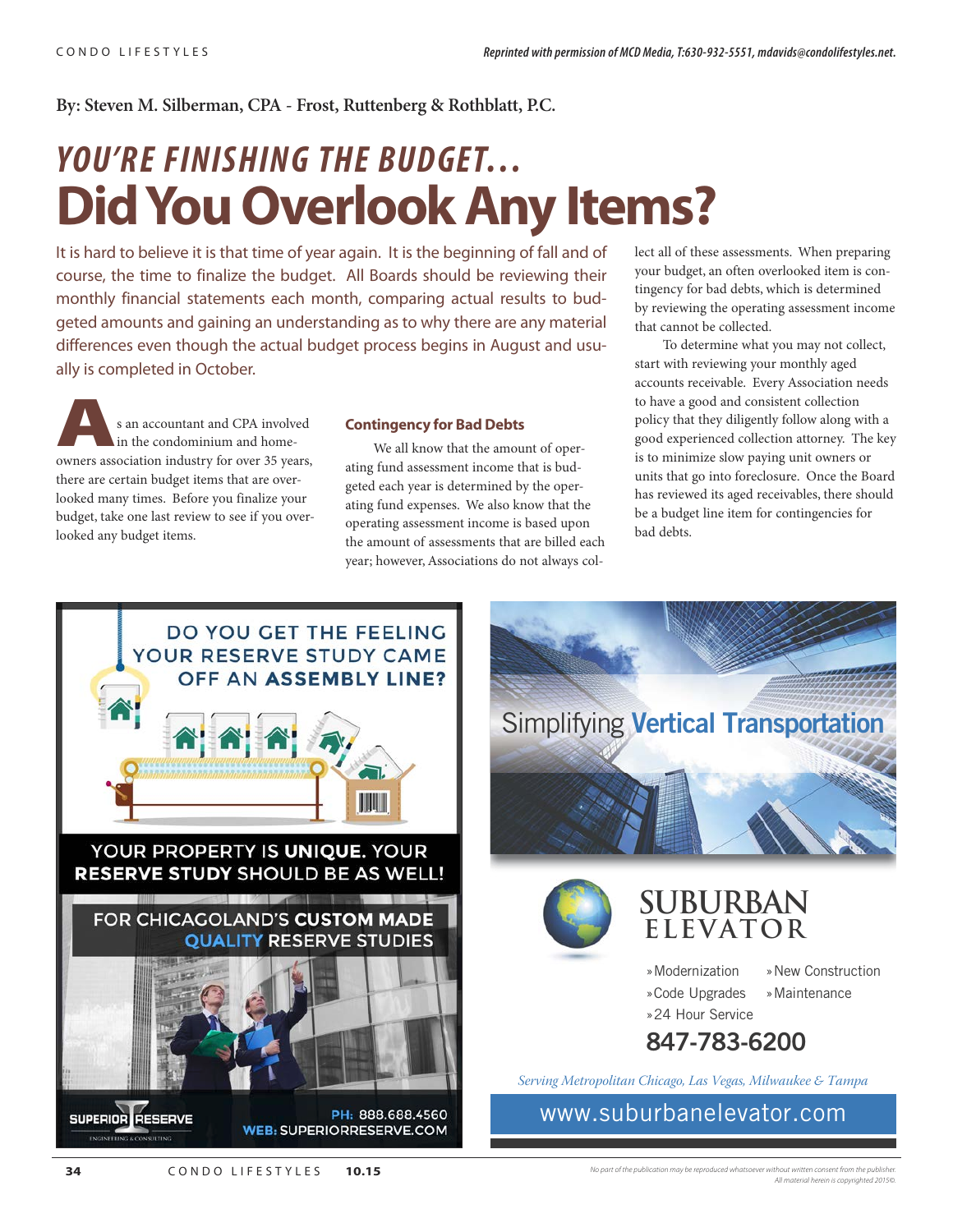#### **By: Steven M. Silberman, CPA - Frost, Ruttenberg & Rothblatt, P.C.**

# *YOU'RE FINISHING THE BUDGET…* **Did You Overlook Any Items?**

It is hard to believe it is that time of year again. It is the beginning of fall and of course, the time to finalize the budget. All Boards should be reviewing their monthly financial statements each month, comparing actual results to budgeted amounts and gaining an understanding as to why there are any material differences even though the actual budget process begins in August and usually is completed in October.

**As an accountant and CPA involved**<br>
in the condominium and home-<br>
owners association industry for over 35 years, in the condominium and homethere are certain budget items that are overlooked many times. Before you finalize your budget, take one last review to see if you overlooked any budget items.

#### **Contingency for Bad Debts**

We all know that the amount of operating fund assessment income that is budgeted each year is determined by the operating fund expenses. We also know that the operating assessment income is based upon the amount of assessments that are billed each year; however, Associations do not always collect all of these assessments. When preparing your budget, an often overlooked item is contingency for bad debts, which is determined by reviewing the operating assessment income that cannot be collected.

To determine what you may not collect, start with reviewing your monthly aged accounts receivable. Every Association needs to have a good and consistent collection policy that they diligently follow along with a good experienced collection attorney. The key is to minimize slow paying unit owners or units that go into foreclosure. Once the Board has reviewed its aged receivables, there should be a budget line item for contingencies for bad debts.





- »Modernization »Code Upgrades
- »New Construction
- - »Maintenance
- **847-783-6200**

Serving Metropolitan Chicago, Las Vegas, Milwaukee & Tampa

»24 Hour Service

www.suburbanelevator.com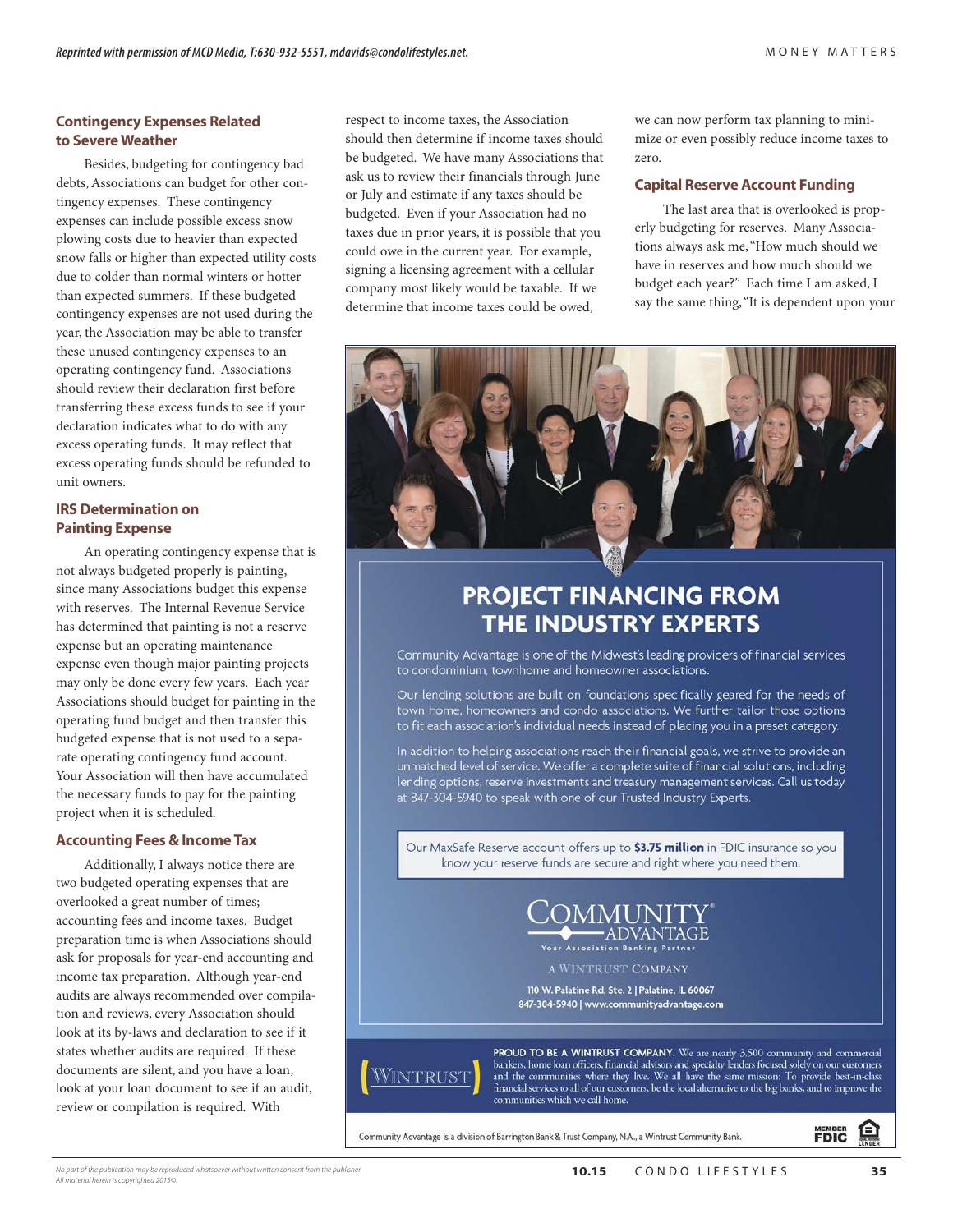#### **Contingency Expenses Related to Severe Weather**

Besides, budgeting for contingency bad debts, Associations can budget for other contingency expenses. These contingency expenses can include possible excess snow plowing costs due to heavier than expected snow falls or higher than expected utility costs due to colder than normal winters or hotter than expected summers. If these budgeted contingency expenses are not used during the year, the Association may be able to transfer these unused contingency expenses to an operating contingency fund. Associations should review their declaration first before transferring these excess funds to see if your declaration indicates what to do with any excess operating funds. It may reflect that excess operating funds should be refunded to unit owners.

#### **IRS Determination on Painting Expense**

An operating contingency expense that is not always budgeted properly is painting, since many Associations budget this expense with reserves. The Internal Revenue Service has determined that painting is not a reserve expense but an operating maintenance expense even though major painting projects may only be done every few years. Each year Associations should budget for painting in the operating fund budget and then transfer this budgeted expense that is not used to a separate operating contingency fund account. Your Association will then have accumulated the necessary funds to pay for the painting project when it is scheduled.

#### **Accounting Fees & Income Tax**

Additionally, I always notice there are two budgeted operating expenses that are overlooked a great number of times; accounting fees and income taxes. Budget preparation time is when Associations should ask for proposals for year-end accounting and income tax preparation. Although year-end audits are always recommended over compilation and reviews, every Association should look at its by-laws and declaration to see if it states whether audits are required. If these documents are silent, and you have a loan, look at your loan document to see if an audit, review or compilation is required. With

respect to income taxes, the Association should then determine if income taxes should be budgeted. We have many Associations that ask us to review their financials through June or July and estimate if any taxes should be budgeted. Even if your Association had no taxes due in prior years, it is possible that you could owe in the current year. For example, signing a licensing agreement with a cellular company most likely would be taxable. If we determine that income taxes could be owed,

we can now perform tax planning to minimize or even possibly reduce income taxes to zero.

#### **Capital Reserve Account Funding**

The last area that is overlooked is properly budgeting for reserves. Many Associations always ask me, "How much should we have in reserves and how much should we budget each year?" Each time I am asked, I say the same thing, "It is dependent upon your



### **PROJECT FINANCING FROM** THE INDUSTRY EXPERTS

Community Advantage is one of the Midwest's leading providers of financial services to condominium, townhome and homeowner associations.

Our lending solutions are built on foundations specifically geared for the needs of town home, homeowners and condo associations. We further tailor those options to fit each association's individual needs instead of placing you in a preset category.

In addition to helping associations reach their financial goals, we strive to provide an unmatched level of service. We offer a complete suite of financial solutions, including lending options, reserve investments and treasury management services. Call us today at 847-304-5940 to speak with one of our Trusted Industry Experts.

Our MaxSafe Reserve account offers up to \$3.75 million in FDIC insurance so you know your reserve funds are secure and right where you need them.



A WINTRUST COMPANY

110 W. Palatine Rd, Ste. 2 | Palatine, IL 60067 847-304-5940 | www.communityadvantage.com



**PROUD TO BE A WINTRUST COMPANY.** We are nearly 3,500 community and commercial bankers, home loan officers, financial advisors and specialty lenders focused solely on our customers and the communities where they live. We a communities which we call home.

Community Advantage is a division of Barrington Bank & Trust Company, N.A., a Wintrust Community Bank.